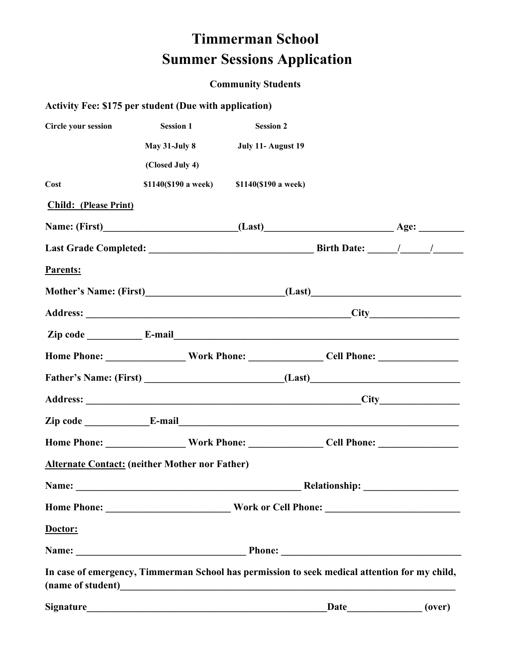## **Timmerman School Summer Sessions Application**

## **Community Students**

## **Activity Fee: \$175 per student (Due with application)**

| <b>Circle your session</b>                                                                    | <b>Session 1</b>                                                | <b>Session 2</b>                          |      |  |        |
|-----------------------------------------------------------------------------------------------|-----------------------------------------------------------------|-------------------------------------------|------|--|--------|
|                                                                                               | <b>May 31-July 8</b>                                            | July 11- August 19                        |      |  |        |
|                                                                                               | (Closed July 4)                                                 |                                           |      |  |        |
| Cost                                                                                          |                                                                 | \$1140(\$190 a week) \$1140(\$190 a week) |      |  |        |
| <b>Child:</b> (Please Print)                                                                  |                                                                 |                                           |      |  |        |
|                                                                                               |                                                                 |                                           |      |  |        |
|                                                                                               |                                                                 |                                           |      |  |        |
| Parents:                                                                                      |                                                                 |                                           |      |  |        |
|                                                                                               |                                                                 |                                           |      |  |        |
|                                                                                               |                                                                 |                                           |      |  |        |
|                                                                                               |                                                                 |                                           |      |  |        |
|                                                                                               |                                                                 |                                           |      |  |        |
|                                                                                               |                                                                 |                                           |      |  |        |
|                                                                                               |                                                                 |                                           |      |  |        |
|                                                                                               |                                                                 |                                           |      |  |        |
|                                                                                               |                                                                 |                                           |      |  |        |
| <b>Alternate Contact: (neither Mother nor Father)</b>                                         |                                                                 |                                           |      |  |        |
| Name:                                                                                         |                                                                 |                                           |      |  |        |
|                                                                                               |                                                                 |                                           |      |  |        |
| Doctor:                                                                                       |                                                                 |                                           |      |  |        |
|                                                                                               |                                                                 |                                           |      |  |        |
| In case of emergency, Timmerman School has permission to seek medical attention for my child, |                                                                 |                                           |      |  |        |
| <b>Signature</b>                                                                              | <u> 1980 - Johann Barn, margaret eta biztanleria (h. 1980).</u> |                                           | Date |  | (over) |